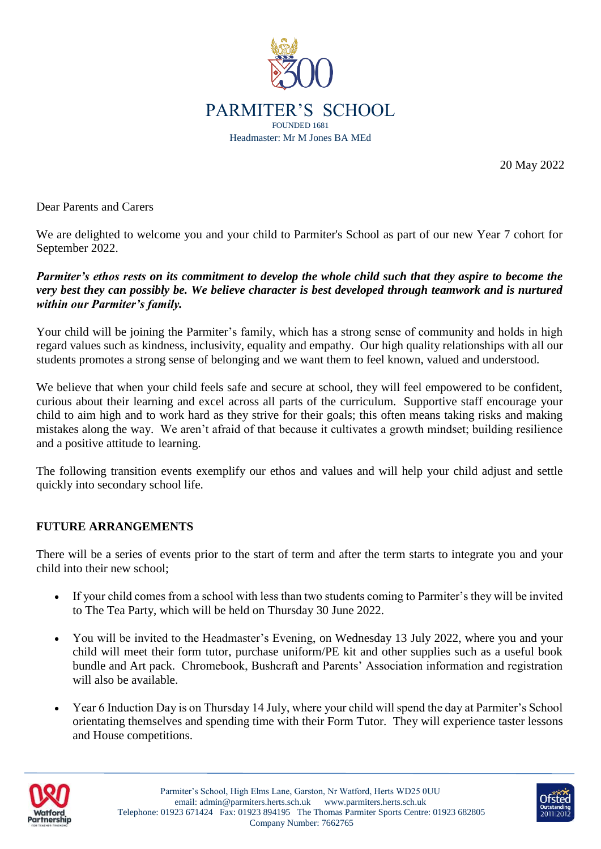

20 May 2022

Dear Parents and Carers

We are delighted to welcome you and your child to Parmiter's School as part of our new Year 7 cohort for September 2022.

## *Parmiter's ethos rests on its commitment to develop the whole child such that they aspire to become the very best they can possibly be. We believe character is best developed through teamwork and is nurtured within our Parmiter's family.*

Your child will be joining the Parmiter's family, which has a strong sense of community and holds in high regard values such as kindness, inclusivity, equality and empathy. Our high quality relationships with all our students promotes a strong sense of belonging and we want them to feel known, valued and understood.

We believe that when your child feels safe and secure at school, they will feel empowered to be confident, curious about their learning and excel across all parts of the curriculum. Supportive staff encourage your child to aim high and to work hard as they strive for their goals; this often means taking risks and making mistakes along the way. We aren't afraid of that because it cultivates a growth mindset; building resilience and a positive attitude to learning.

The following transition events exemplify our ethos and values and will help your child adjust and settle quickly into secondary school life.

## **FUTURE ARRANGEMENTS**

There will be a series of events prior to the start of term and after the term starts to integrate you and your child into their new school;

- If your child comes from a school with less than two students coming to Parmiter's they will be invited to The Tea Party, which will be held on Thursday 30 June 2022.
- You will be invited to the Headmaster's Evening, on Wednesday 13 July 2022, where you and your child will meet their form tutor, purchase uniform/PE kit and other supplies such as a useful book bundle and Art pack. Chromebook, Bushcraft and Parents' Association information and registration will also be available.
- Year 6 Induction Day is on Thursday 14 July, where your child will spend the day at Parmiter's School orientating themselves and spending time with their Form Tutor. They will experience taster lessons and House competitions.